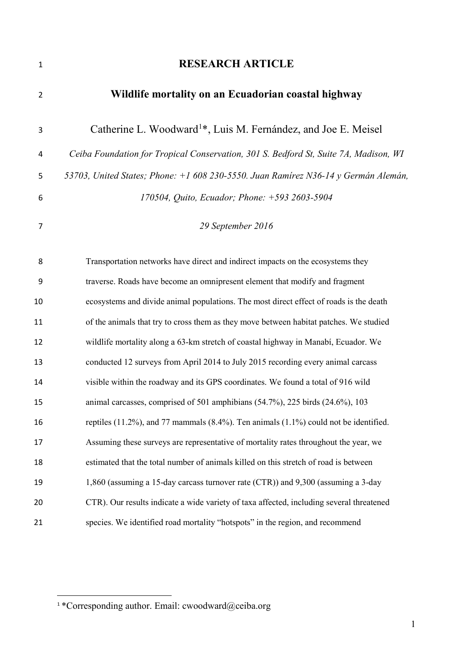# **RESEARCH ARTICLE**

| $\overline{2}$ | Wildlife mortality on an Ecuadorian coastal highway                                      |  |  |  |  |
|----------------|------------------------------------------------------------------------------------------|--|--|--|--|
| 3              | Catherine L. Woodward <sup>1*</sup> , Luis M. Fernández, and Joe E. Meisel               |  |  |  |  |
| 4              | Ceiba Foundation for Tropical Conservation, 301 S. Bedford St, Suite 7A, Madison, WI     |  |  |  |  |
| 5              | 53703, United States; Phone: +1 608 230-5550. Juan Ramírez N36-14 y Germán Alemán,       |  |  |  |  |
| 6              | 170504, Quito, Ecuador; Phone: +593 2603-5904                                            |  |  |  |  |
| 7              | 29 September 2016                                                                        |  |  |  |  |
| 8              | Transportation networks have direct and indirect impacts on the ecosystems they          |  |  |  |  |
| 9              | traverse. Roads have become an omnipresent element that modify and fragment              |  |  |  |  |
| 10             | ecosystems and divide animal populations. The most direct effect of roads is the death   |  |  |  |  |
| 11             | of the animals that try to cross them as they move between habitat patches. We studied   |  |  |  |  |
| 12             | wildlife mortality along a 63-km stretch of coastal highway in Manabí, Ecuador. We       |  |  |  |  |
| 13             | conducted 12 surveys from April 2014 to July 2015 recording every animal carcass         |  |  |  |  |
| 14             | visible within the roadway and its GPS coordinates. We found a total of 916 wild         |  |  |  |  |
| 15             | animal carcasses, comprised of 501 amphibians (54.7%), 225 birds (24.6%), 103            |  |  |  |  |
| 16             | reptiles (11.2%), and 77 mammals (8.4%). Ten animals (1.1%) could not be identified.     |  |  |  |  |
| 17             | Assuming these surveys are representative of mortality rates throughout the year, we     |  |  |  |  |
| 18             | estimated that the total number of animals killed on this stretch of road is between     |  |  |  |  |
| 19             | 1,860 (assuming a 15-day carcass turnover rate (CTR)) and 9,300 (assuming a 3-day        |  |  |  |  |
| 20             | CTR). Our results indicate a wide variety of taxa affected, including several threatened |  |  |  |  |
| 21             | species. We identified road mortality "hotspots" in the region, and recommend            |  |  |  |  |

<span id="page-0-0"></span>\*Corresponding author. Email: cwoodward@ceiba.org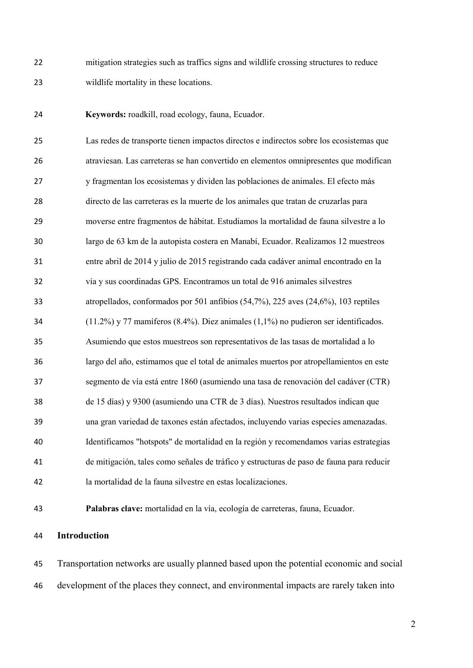mitigation strategies such as traffics signs and wildlife crossing structures to reduce wildlife mortality in these locations.

**Keywords:** roadkill, road ecology, fauna, Ecuador.

 Las redes de transporte tienen impactos directos e indirectos sobre los ecosistemas que atraviesan. Las carreteras se han convertido en elementos omnipresentes que modifican y fragmentan los ecosistemas y dividen las poblaciones de animales. El efecto más directo de las carreteras es la muerte de los animales que tratan de cruzarlas para moverse entre fragmentos de hábitat. Estudiamos la mortalidad de fauna silvestre a lo largo de 63 km de la autopista costera en Manabí, Ecuador. Realizamos 12 muestreos entre abril de 2014 y julio de 2015 registrando cada cadáver animal encontrado en la vía y sus coordinadas GPS. Encontramos un total de 916 animales silvestres atropellados, conformados por 501 anfibios (54,7%), 225 aves (24,6%), 103 reptiles (11.2%) y 77 mamíferos (8.4%). Diez animales (1,1%) no pudieron ser identificados. Asumiendo que estos muestreos son representativos de las tasas de mortalidad a lo largo del año, estimamos que el total de animales muertos por atropellamientos en este segmento de vía está entre 1860 (asumiendo una tasa de renovación del cadáver (CTR) de 15 días) y 9300 (asumiendo una CTR de 3 días). Nuestros resultados indican que una gran variedad de taxones están afectados, incluyendo varias especies amenazadas. Identificamos "hotspots" de mortalidad en la región y recomendamos varias estrategias de mitigación, tales como señales de tráfico y estructuras de paso de fauna para reducir la mortalidad de la fauna silvestre en estas localizaciones.

**Palabras clave:** mortalidad en la vía, ecología de carreteras, fauna, Ecuador.

# **Introduction**

 Transportation networks are usually planned based upon the potential economic and social development of the places they connect, and environmental impacts are rarely taken into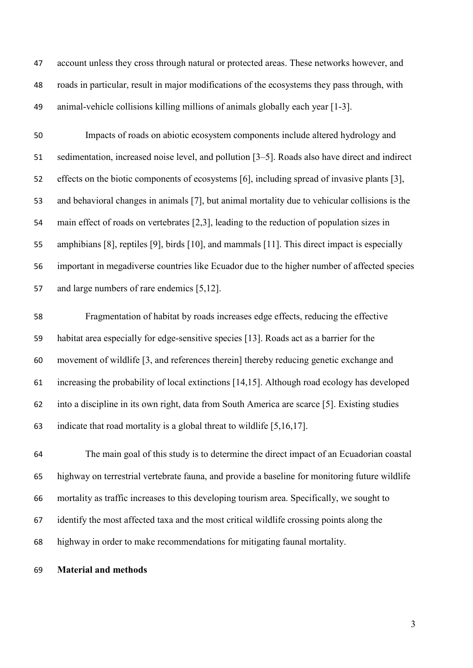account unless they cross through natural or protected areas. These networks however, and roads in particular, result in major modifications of the ecosystems they pass through, with animal-vehicle collisions killing millions of animals globally each year [1-3].

 Impacts of roads on abiotic ecosystem components include altered hydrology and sedimentation, increased noise level, and pollution [3–5]. Roads also have direct and indirect effects on the biotic components of ecosystems [6], including spread of invasive plants [3], and behavioral changes in animals [7], but animal mortality due to vehicular collisions is the main effect of roads on vertebrates [2,3], leading to the reduction of population sizes in amphibians [8], reptiles [9], birds [10], and mammals [11]. This direct impact is especially important in megadiverse countries like Ecuador due to the higher number of affected species and large numbers of rare endemics [5,12].

 Fragmentation of habitat by roads increases edge effects, reducing the effective habitat area especially for edge-sensitive species [13]. Roads act as a barrier for the movement of wildlife [3, and references therein] thereby reducing genetic exchange and increasing the probability of local extinctions [14,15]. Although road ecology has developed into a discipline in its own right, data from South America are scarce [5]. Existing studies indicate that road mortality is a global threat to wildlife [5,16,17].

 The main goal of this study is to determine the direct impact of an Ecuadorian coastal highway on terrestrial vertebrate fauna, and provide a baseline for monitoring future wildlife mortality as traffic increases to this developing tourism area. Specifically, we sought to identify the most affected taxa and the most critical wildlife crossing points along the highway in order to make recommendations for mitigating faunal mortality.

## **Material and methods**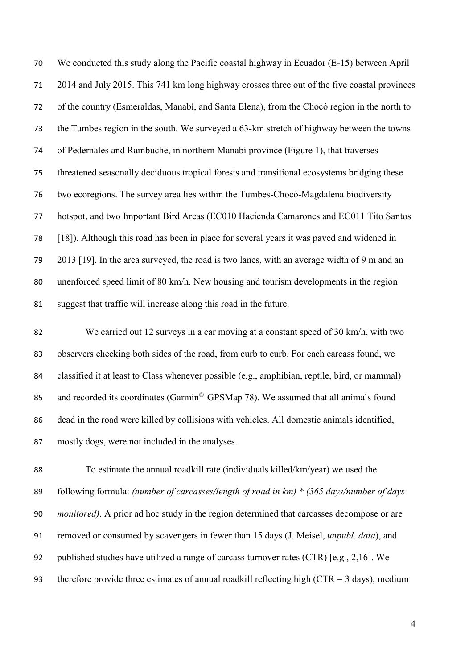We conducted this study along the Pacific coastal highway in Ecuador (E-15) between April 2014 and July 2015. This 741 km long highway crosses three out of the five coastal provinces of the country (Esmeraldas, Manabí, and Santa Elena), from the Chocó region in the north to the Tumbes region in the south. We surveyed a 63-km stretch of highway between the towns of Pedernales and Rambuche, in northern Manabí province (Figure 1), that traverses threatened seasonally deciduous tropical forests and transitional ecosystems bridging these two ecoregions. The survey area lies within the Tumbes-Chocó-Magdalena biodiversity hotspot, and two Important Bird Areas (EC010 Hacienda Camarones and EC011 Tito Santos [18]). Although this road has been in place for several years it was paved and widened in 2013 [19]. In the area surveyed, the road is two lanes, with an average width of 9 m and an unenforced speed limit of 80 km/h. New housing and tourism developments in the region suggest that traffic will increase along this road in the future.

 We carried out 12 surveys in a car moving at a constant speed of 30 km/h, with two observers checking both sides of the road, from curb to curb. For each carcass found, we classified it at least to Class whenever possible (e.g., amphibian, reptile, bird, or mammal) 85 and recorded its coordinates (Garmin® GPSMap 78). We assumed that all animals found dead in the road were killed by collisions with vehicles. All domestic animals identified, mostly dogs, were not included in the analyses.

 To estimate the annual roadkill rate (individuals killed/km/year) we used the following formula: *(number of carcasses/length of road in km) \* (365 days/number of days monitored)*. A prior ad hoc study in the region determined that carcasses decompose or are removed or consumed by scavengers in fewer than 15 days (J. Meisel, *unpubl. data*), and published studies have utilized a range of carcass turnover rates (CTR) [e.g., 2,16]. We 93 therefore provide three estimates of annual roadkill reflecting high (CTR = days), medium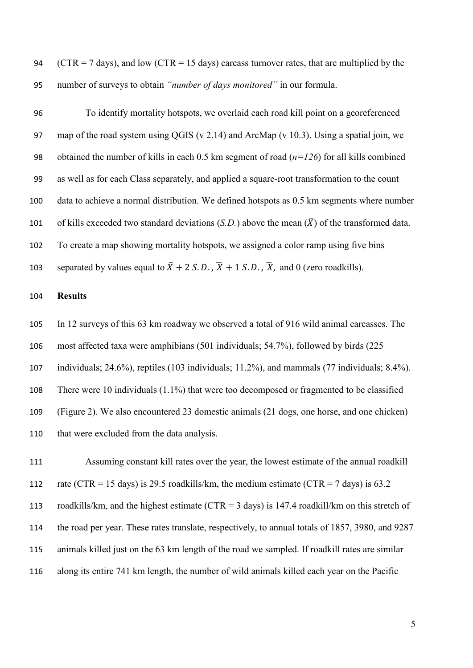| 94 (CTR = 7 days), and low (CTR = 15 days) carcass turnover rates, that are multiplied by the |
|-----------------------------------------------------------------------------------------------|
| 95 number of surveys to obtain " <i>number of days monitored</i> " in our formula.            |

 To identify mortality hotspots, we overlaid each road kill point on a georeferenced map of the road system using QGIS (v 2.14) and ArcMap (v 10.3). Using a spatial join, we obtained the number of kills in each 0.5 km segment of road (*n=126*) for all kills combined as well as for each Class separately, and applied a square-root transformation to the count data to achieve a normal distribution. We defined hotspots as 0.5 km segments where number 101 of kills exceeded two standard deviations  $(S.D.)$  above the mean  $(\bar{X})$  of the transformed data. To create a map showing mortality hotspots, we assigned a color ramp using five bins 103 separated by values equal to  $\overline{X} + 2 S.D., \overline{X} + 1 S.D., \overline{X}$ , and 0 (zero roadkills).

#### **Results**

 In 12 surveys of this 63 km roadway we observed a total of 916 wild animal carcasses. The most affected taxa were amphibians (501 individuals; 54.7%), followed by birds (225 individuals; 24.6%), reptiles (103 individuals; 11.2%), and mammals (77 individuals; 8.4%). There were 10 individuals (1.1%) that were too decomposed or fragmented to be classified (Figure 2). We also encountered 23 domestic animals (21 dogs, one horse, and one chicken) that were excluded from the data analysis.

 Assuming constant kill rates over the year, the lowest estimate of the annual roadkill 112 rate (CTR = 15 days) is 29.5 roadkills/km, the medium estimate (CTR = 7 days) is 63.2 roadkills/km, and the highest estimate (CTR = 3 days) is 147.4 roadkill/km on this stretch of the road per year. These rates translate, respectively, to annual totals of 1857, 3980, and 9287 animals killed just on the 63 km length of the road we sampled. If roadkill rates are similar along its entire 741 km length, the number of wild animals killed each year on the Pacific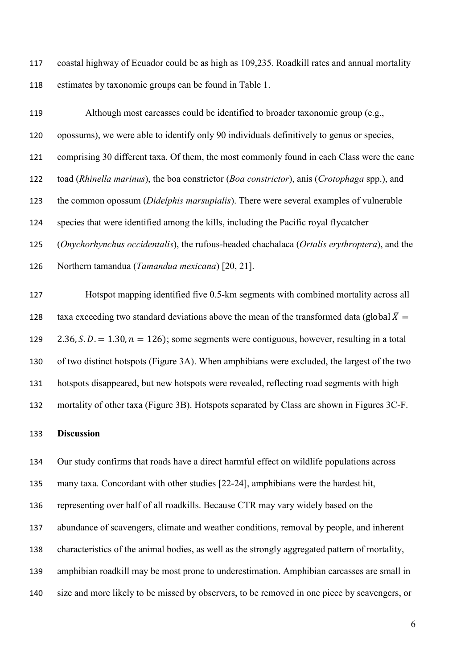coastal highway of Ecuador could be as high as 109,235. Roadkill rates and annual mortality estimates by taxonomic groups can be found in Table 1.

 Although most carcasses could be identified to broader taxonomic group (e.g., opossums), we were able to identify only 90 individuals definitively to genus or species, comprising 30 different taxa. Of them, the most commonly found in each Class were the cane toad (*Rhinella marinus*), the boa constrictor (*Boa constrictor*), anis (*Crotophaga* spp.), and the common opossum (*Didelphis marsupialis*). There were several examples of vulnerable species that were identified among the kills, including the Pacific royal flycatcher (*Onychorhynchus occidentalis*), the rufous-headed chachalaca (*Ortalis erythroptera*), and the Northern tamandua (*Tamandua mexicana*) [20, 21]. Hotspot mapping identified five 0.5-km segments with combined mortality across all

128 taxa exceeding two standard deviations above the mean of the transformed data (global  $\bar{X} =$ 129 2.36, S. D. = 1.30,  $n = 126$ ; some segments were contiguous, however, resulting in a total of two distinct hotspots (Figure 3A). When amphibians were excluded, the largest of the two hotspots disappeared, but new hotspots were revealed, reflecting road segments with high mortality of other taxa (Figure 3B). Hotspots separated by Class are shown in Figures 3C-F.

## **Discussion**

Our study confirms that roads have a direct harmful effect on wildlife populations across

many taxa. Concordant with other studies [22-24], amphibians were the hardest hit,

representing over half of all roadkills. Because CTR may vary widely based on the

abundance of scavengers, climate and weather conditions, removal by people, and inherent

- characteristics of the animal bodies, as well as the strongly aggregated pattern of mortality,
- amphibian roadkill may be most prone to underestimation. Amphibian carcasses are small in
- size and more likely to be missed by observers, to be removed in one piece by scavengers, or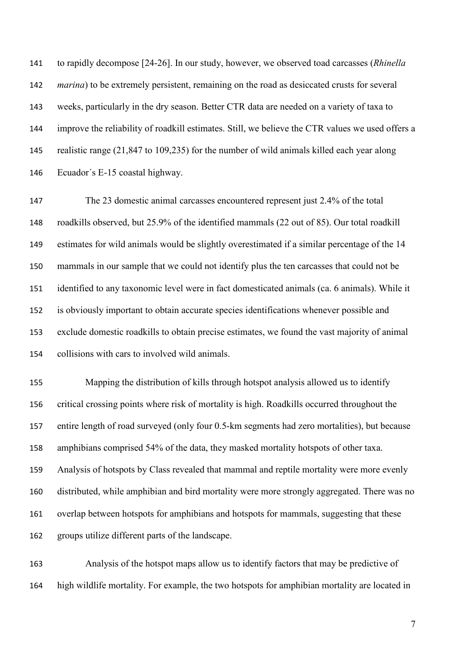to rapidly decompose [24-26]. In our study, however, we observed toad carcasses (*Rhinella marina*) to be extremely persistent, remaining on the road as desiccated crusts for several weeks, particularly in the dry season. Better CTR data are needed on a variety of taxa to improve the reliability of roadkill estimates. Still, we believe the CTR values we used offers a realistic range (21,847 to 109,235) for the number of wild animals killed each year along Ecuador´s E-15 coastal highway.

 The 23 domestic animal carcasses encountered represent just 2.4% of the total roadkills observed, but 25.9% of the identified mammals (22 out of 85). Our total roadkill estimates for wild animals would be slightly overestimated if a similar percentage of the 14 mammals in our sample that we could not identify plus the ten carcasses that could not be identified to any taxonomic level were in fact domesticated animals (ca. 6 animals). While it is obviously important to obtain accurate species identifications whenever possible and exclude domestic roadkills to obtain precise estimates, we found the vast majority of animal collisions with cars to involved wild animals.

 Mapping the distribution of kills through hotspot analysis allowed us to identify critical crossing points where risk of mortality is high. Roadkills occurred throughout the entire length of road surveyed (only four 0.5-km segments had zero mortalities), but because amphibians comprised 54% of the data, they masked mortality hotspots of other taxa. Analysis of hotspots by Class revealed that mammal and reptile mortality were more evenly distributed, while amphibian and bird mortality were more strongly aggregated. There was no overlap between hotspots for amphibians and hotspots for mammals, suggesting that these groups utilize different parts of the landscape.

 Analysis of the hotspot maps allow us to identify factors that may be predictive of high wildlife mortality. For example, the two hotspots for amphibian mortality are located in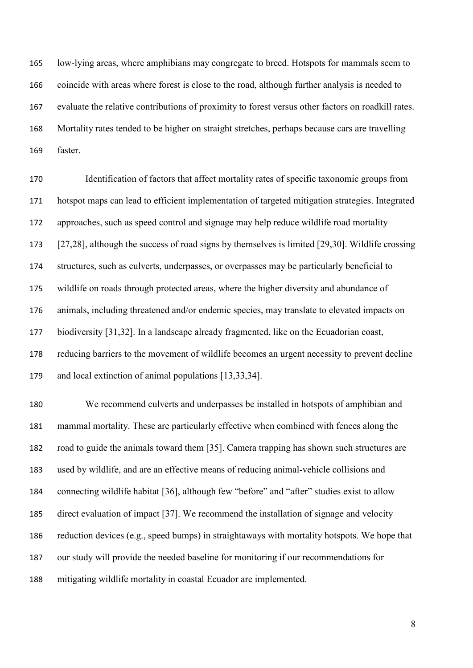low-lying areas, where amphibians may congregate to breed. Hotspots for mammals seem to coincide with areas where forest is close to the road, although further analysis is needed to evaluate the relative contributions of proximity to forest versus other factors on roadkill rates. Mortality rates tended to be higher on straight stretches, perhaps because cars are travelling faster.

170 Identification of factors that affect mortality rates of specific taxonomic groups from hotspot maps can lead to efficient implementation of targeted mitigation strategies. Integrated approaches, such as speed control and signage may help reduce wildlife road mortality [27,28], although the success of road signs by themselves is limited [29,30]. Wildlife crossing structures, such as culverts, underpasses, or overpasses may be particularly beneficial to wildlife on roads through protected areas, where the higher diversity and abundance of animals, including threatened and/or endemic species, may translate to elevated impacts on biodiversity [31,32]. In a landscape already fragmented, like on the Ecuadorian coast, reducing barriers to the movement of wildlife becomes an urgent necessity to prevent decline and local extinction of animal populations [13,33,34].

 We recommend culverts and underpasses be installed in hotspots of amphibian and mammal mortality. These are particularly effective when combined with fences along the road to guide the animals toward them [35]. Camera trapping has shown such structures are used by wildlife, and are an effective means of reducing animal-vehicle collisions and connecting wildlife habitat [36], although few "before" and "after" studies exist to allow direct evaluation of impact [37]. We recommend the installation of signage and velocity reduction devices (e.g., speed bumps) in straightaways with mortality hotspots. We hope that our study will provide the needed baseline for monitoring if our recommendations for mitigating wildlife mortality in coastal Ecuador are implemented.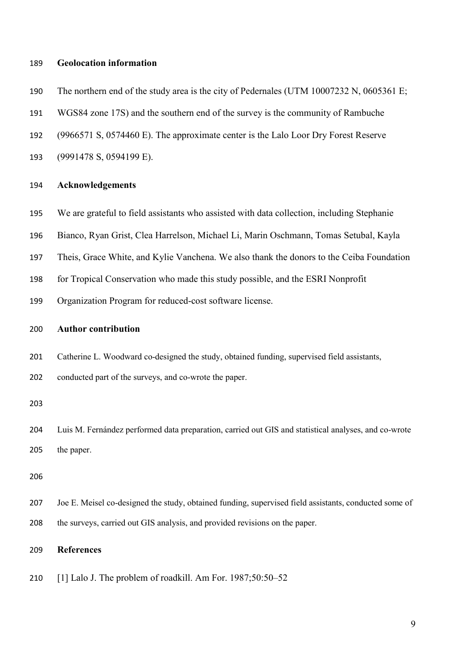## **Geolocation information**

- 190 The northern end of the study area is the city of Pedernales (UTM 10007232 N, 0605361 E;
- WGS84 zone 17S) and the southern end of the survey is the community of Rambuche
- (9966571 S, 0574460 E). The approximate center is the Lalo Loor Dry Forest Reserve
- (9991478 S, 0594199 E).

#### **Acknowledgements**

- We are grateful to field assistants who assisted with data collection, including Stephanie
- Bianco, Ryan Grist, Clea Harrelson, Michael Li, Marin Oschmann, Tomas Setubal, Kayla
- Theis, Grace White, and Kylie Vanchena. We also thank the donors to the Ceiba Foundation
- for Tropical Conservation who made this study possible, and the ESRI Nonprofit
- Organization Program for reduced-cost software license.

#### **Author contribution**

- Catherine L. Woodward co-designed the study, obtained funding, supervised field assistants,
- conducted part of the surveys, and co-wrote the paper.

 Luis M. Fernández performed data preparation, carried out GIS and statistical analyses, and co-wrote the paper.

 Joe E. Meisel co-designed the study, obtained funding, supervised field assistants, conducted some of the surveys, carried out GIS analysis, and provided revisions on the paper.

### **References**

[1] Lalo J. The problem of roadkill. Am For. 1987;50:50–52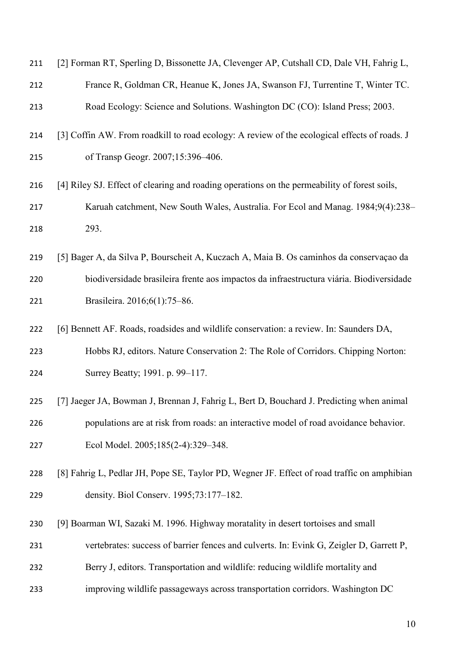| 211 | [2] Forman RT, Sperling D, Bissonette JA, Clevenger AP, Cutshall CD, Dale VH, Fahrig L,      |
|-----|----------------------------------------------------------------------------------------------|
| 212 | France R, Goldman CR, Heanue K, Jones JA, Swanson FJ, Turrentine T, Winter TC.               |
| 213 | Road Ecology: Science and Solutions. Washington DC (CO): Island Press; 2003.                 |
| 214 | [3] Coffin AW. From roadkill to road ecology: A review of the ecological effects of roads. J |
| 215 | of Transp Geogr. 2007;15:396-406.                                                            |
| 216 | [4] Riley SJ. Effect of clearing and roading operations on the permeability of forest soils, |
| 217 | Karuah catchment, New South Wales, Australia. For Ecol and Manag. 1984;9(4):238–             |
| 218 | 293.                                                                                         |
| 219 | [5] Bager A, da Silva P, Bourscheit A, Kuczach A, Maia B. Os caminhos da conservação da      |
| 220 | biodiversidade brasileira frente aos impactos da infraestructura viária. Biodiversidade      |
| 221 | Brasileira. 2016;6(1):75-86.                                                                 |
| 222 | [6] Bennett AF. Roads, roadsides and wildlife conservation: a review. In: Saunders DA,       |
| 223 | Hobbs RJ, editors. Nature Conservation 2: The Role of Corridors. Chipping Norton:            |
| 224 | Surrey Beatty; 1991. p. 99–117.                                                              |
| 225 | [7] Jaeger JA, Bowman J, Brennan J, Fahrig L, Bert D, Bouchard J. Predicting when animal     |
| 226 | populations are at risk from roads: an interactive model of road avoidance behavior.         |
| 227 | Ecol Model. 2005;185(2-4):329-348.                                                           |
| 228 | [8] Fahrig L, Pedlar JH, Pope SE, Taylor PD, Wegner JF. Effect of road traffic on amphibian  |
| 229 | density. Biol Conserv. 1995;73:177-182.                                                      |
| 230 | [9] Boarman WI, Sazaki M. 1996. Highway moratality in desert tortoises and small             |
| 231 | vertebrates: success of barrier fences and culverts. In: Evink G, Zeigler D, Garrett P,      |
| 232 | Berry J, editors. Transportation and wildlife: reducing wildlife mortality and               |
| 233 | improving wildlife passageways across transportation corridors. Washington DC                |
|     |                                                                                              |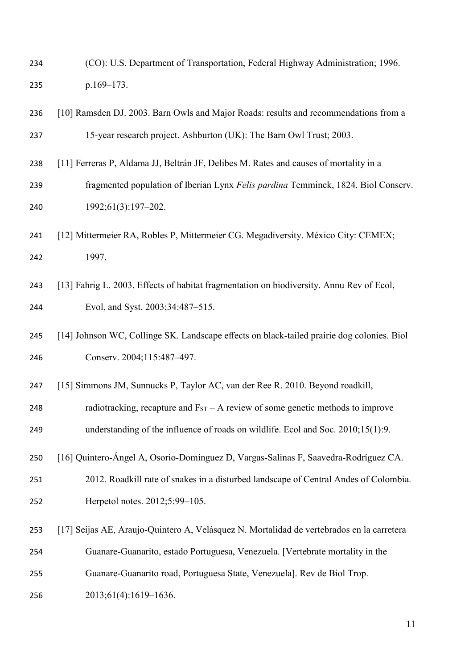- (CO): U.S. Department of Transportation, Federal Highway Administration; 1996. p.169–173.
- [10] Ramsden DJ. 2003. Barn Owls and Major Roads: results and recommendations from a 15-year research project. Ashburton (UK): The Barn Owl Trust; 2003.
- [11] Ferreras P, Aldama JJ, Beltrán JF, Delibes M. Rates and causes of mortality in a fragmented population of Iberian Lynx *Felis pardina* Temminck, 1824. Biol Conserv. 1992;61(3):197–202.
- [12] Mittermeier RA, Robles P, Mittermeier CG. Megadiversity. México City: CEMEX; 1997.
- [13] Fahrig L. 2003. Effects of habitat fragmentation on biodiversity. Annu Rev of Ecol, Evol, and Syst. 2003;34:487–515.
- [14] Johnson WC, Collinge SK. Landscape effects on black-tailed prairie dog colonies. Biol Conserv. 2004;115:487–497.
- [15] Simmons JM, Sunnucks P, Taylor AC, van der Ree R. 2010. Beyond roadkill,
- 248 radiotracking, recapture and  $F_{ST}$  A review of some genetic methods to improve understanding of the influence of roads on wildlife. Ecol and Soc. 2010;15(1):9.
- [16] Quintero-Ángel A, Osorio-Domínguez D, Vargas-Salinas F, Saavedra-Rodríguez CA.
- 2012. Roadkill rate of snakes in a disturbed landscape of Central Andes of Colombia. Herpetol notes. 2012;5:99–105.
- [17] Seijas AE, Araujo-Quintero A, Velásquez N. Mortalidad de vertebrados en la carretera
- Guanare-Guanarito, estado Portuguesa, Venezuela. [Vertebrate mortality in the
- Guanare-Guanarito road, Portuguesa State, Venezuela]. Rev de Biol Trop.
- 2013;61(4):1619–1636.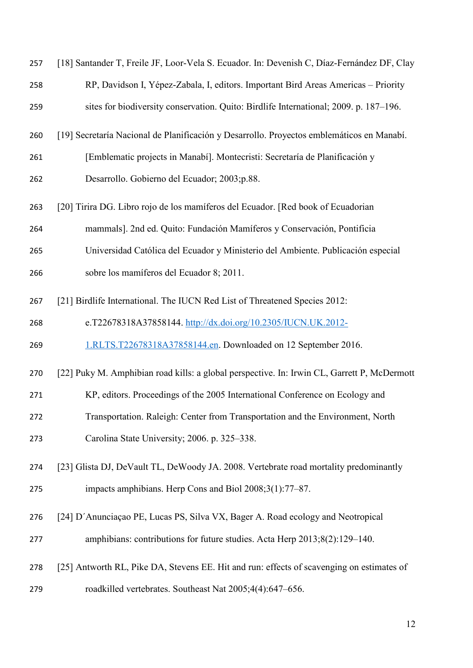| 257 | [18] Santander T, Freile JF, Loor-Vela S. Ecuador. In: Devenish C, Díaz-Fernández DF, Clay  |  |  |  |  |  |
|-----|---------------------------------------------------------------------------------------------|--|--|--|--|--|
| 258 | RP, Davidson I, Yépez-Zabala, I, editors. Important Bird Areas Americas - Priority          |  |  |  |  |  |
| 259 | sites for biodiversity conservation. Quito: Birdlife International; 2009. p. 187-196.       |  |  |  |  |  |
| 260 | [19] Secretaría Nacional de Planificación y Desarrollo. Proyectos emblemáticos en Manabí.   |  |  |  |  |  |
| 261 | [Emblematic projects in Manabí]. Montecristi: Secretaría de Planificación y                 |  |  |  |  |  |
| 262 | Desarrollo. Gobierno del Ecuador; 2003;p.88.                                                |  |  |  |  |  |
| 263 | [20] Tirira DG. Libro rojo de los mamíferos del Ecuador. [Red book of Ecuadorian            |  |  |  |  |  |
| 264 | mammals]. 2nd ed. Quito: Fundación Mamíferos y Conservación, Pontificia                     |  |  |  |  |  |
| 265 | Universidad Católica del Ecuador y Ministerio del Ambiente. Publicación especial            |  |  |  |  |  |
| 266 | sobre los mamíferos del Ecuador 8; 2011.                                                    |  |  |  |  |  |
| 267 | [21] Birdlife International. The IUCN Red List of Threatened Species 2012:                  |  |  |  |  |  |
| 268 | e.T22678318A37858144. http://dx.doi.org/10.2305/IUCN.UK.2012-                               |  |  |  |  |  |
| 269 | 1.RLTS.T22678318A37858144.en. Downloaded on 12 September 2016.                              |  |  |  |  |  |
| 270 | [22] Puky M. Amphibian road kills: a global perspective. In: Irwin CL, Garrett P, McDermott |  |  |  |  |  |
| 271 | KP, editors. Proceedings of the 2005 International Conference on Ecology and                |  |  |  |  |  |
| 272 | Transportation. Raleigh: Center from Transportation and the Environment, North              |  |  |  |  |  |
| 273 | Carolina State University; 2006. p. 325-338.                                                |  |  |  |  |  |
| 274 | [23] Glista DJ, DeVault TL, DeWoody JA. 2008. Vertebrate road mortality predominantly       |  |  |  |  |  |
| 275 | impacts amphibians. Herp Cons and Biol 2008;3(1):77–87.                                     |  |  |  |  |  |
| 276 | [24] D'Anunciaçao PE, Lucas PS, Silva VX, Bager A. Road ecology and Neotropical             |  |  |  |  |  |
| 277 | amphibians: contributions for future studies. Acta Herp 2013;8(2):129–140.                  |  |  |  |  |  |
| 278 | [25] Antworth RL, Pike DA, Stevens EE. Hit and run: effects of scavenging on estimates of   |  |  |  |  |  |
| 279 | roadkilled vertebrates. Southeast Nat 2005;4(4):647–656.                                    |  |  |  |  |  |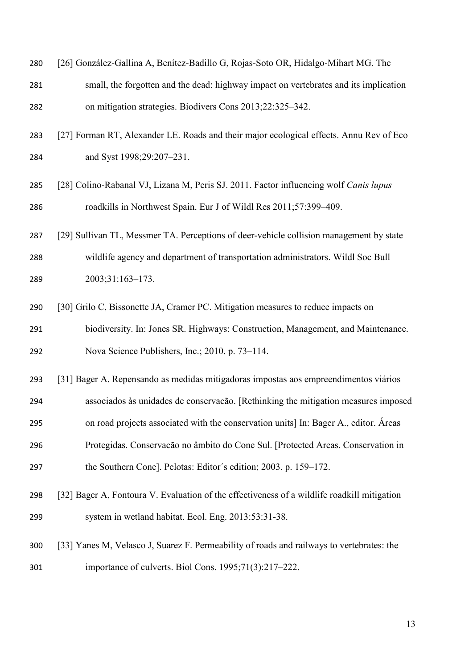| 280 | [26] González-Gallina A, Benítez-Badillo G, Rojas-Soto OR, Hidalgo-Mihart MG. The    |
|-----|--------------------------------------------------------------------------------------|
| 281 | small, the forgotten and the dead: highway impact on vertebrates and its implication |
| 282 | on mitigation strategies. Biodivers Cons 2013;22:325–342.                            |

- [27] Forman RT, Alexander LE. Roads and their major ecological effects. Annu Rev of Eco and Syst 1998;29:207–231.
- [28] Colino-Rabanal VJ, Lizana M, Peris SJ. 2011. Factor influencing wolf *Canis lupus* roadkills in Northwest Spain. Eur J of Wildl Res 2011;57:399–409.
- [29] Sullivan TL, Messmer TA. Perceptions of deer-vehicle collision management by state wildlife agency and department of transportation administrators. Wildl Soc Bull 2003;31:163–173.
- [30] Grilo C, Bissonette JA, Cramer PC. Mitigation measures to reduce impacts on biodiversity. In: Jones SR. Highways: Construction, Management, and Maintenance. Nova Science Publishers, Inc.; 2010. p. 73–114.
- [31] Bager A. Repensando as medidas mitigadoras impostas aos empreendimentos viários associados às unidades de conservacão. [Rethinking the mitigation measures imposed on road projects associated with the conservation units] In: Bager A., editor. Áreas Protegidas. Conservacão no âmbito do Cone Sul. [Protected Areas. Conservation in
- the Southern Cone]. Pelotas: Editor´s edition; 2003. p. 159–172.
- [32] Bager A, Fontoura V. Evaluation of the effectiveness of a wildlife roadkill mitigation system in wetland habitat. Ecol. Eng. 2013:53:31-38.
- [33] Yanes M, Velasco J, Suarez F. Permeability of roads and railways to vertebrates: the importance of culverts. Biol Cons. 1995;71(3):217–222.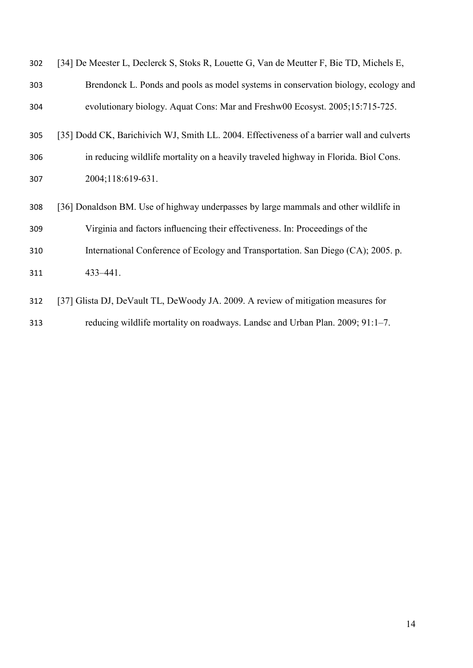| 302 | [34] De Meester L, Declerck S, Stoks R, Louette G, Van de Meutter F, Bie TD, Michels E,    |
|-----|--------------------------------------------------------------------------------------------|
| 303 | Brendonck L. Ponds and pools as model systems in conservation biology, ecology and         |
| 304 | evolutionary biology. Aquat Cons: Mar and Freshw00 Ecosyst. 2005;15:715-725.               |
| 305 | [35] Dodd CK, Barichivich WJ, Smith LL. 2004. Effectiveness of a barrier wall and culverts |
| 306 | in reducing wildlife mortality on a heavily traveled highway in Florida. Biol Cons.        |
| 307 | 2004;118:619-631.                                                                          |
| 308 | [36] Donaldson BM. Use of highway underpasses by large mammals and other wildlife in       |
| 309 | Virginia and factors influencing their effectiveness. In: Proceedings of the               |
| 310 | International Conference of Ecology and Transportation. San Diego (CA); 2005. p.           |
| 311 | $433 - 441.$                                                                               |
| 312 | [37] Glista DJ, DeVault TL, DeWoody JA. 2009. A review of mitigation measures for          |
| 313 | reducing wildlife mortality on roadways. Landsc and Urban Plan. 2009; 91:1–7.              |